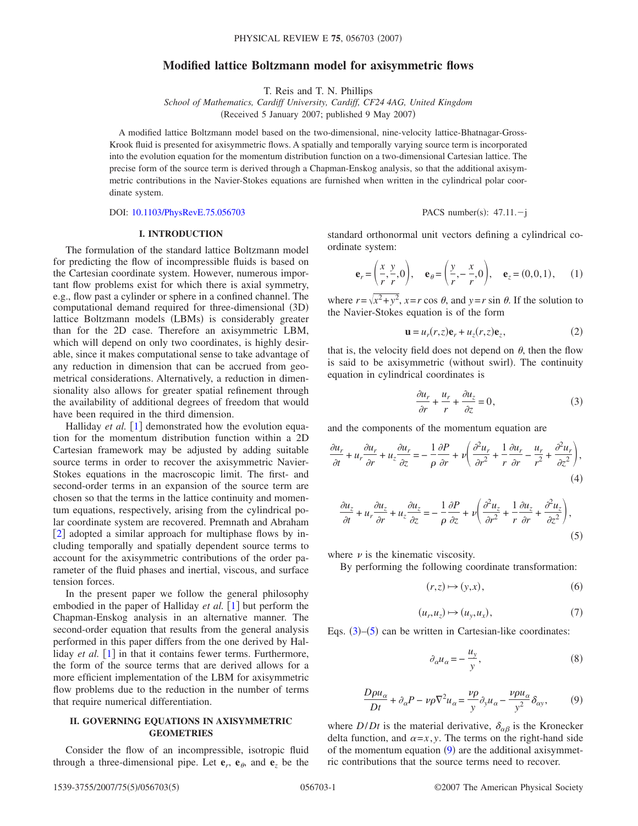# **Modified lattice Boltzmann model for axisymmetric flows**

T. Reis and T. N. Phillips

*School of Mathematics, Cardiff University, Cardiff, CF24 4AG, United Kingdom* (Received 5 January 2007; published 9 May 2007)

A modified lattice Boltzmann model based on the two-dimensional, nine-velocity lattice-Bhatnagar-Gross-Krook fluid is presented for axisymmetric flows. A spatially and temporally varying source term is incorporated into the evolution equation for the momentum distribution function on a two-dimensional Cartesian lattice. The precise form of the source term is derived through a Chapman-Enskog analysis, so that the additional axisymmetric contributions in the Navier-Stokes equations are furnished when written in the cylindrical polar coordinate system.

DOI: [10.1103/PhysRevE.75.056703](http://dx.doi.org/10.1103/PhysRevE.75.056703)

## PACS number(s):  $47.11.-j$

### **I. INTRODUCTION**

The formulation of the standard lattice Boltzmann model for predicting the flow of incompressible fluids is based on the Cartesian coordinate system. However, numerous important flow problems exist for which there is axial symmetry, e.g., flow past a cylinder or sphere in a confined channel. The computational demand required for three-dimensional (3D) lattice Boltzmann models (LBMs) is considerably greater than for the 2D case. Therefore an axisymmetric LBM, which will depend on only two coordinates, is highly desirable, since it makes computational sense to take advantage of any reduction in dimension that can be accrued from geometrical considerations. Alternatively, a reduction in dimensionality also allows for greater spatial refinement through the availability of additional degrees of freedom that would have been required in the third dimension.

Halliday *et al.* [[1](#page-3-0)] demonstrated how the evolution equation for the momentum distribution function within a 2D Cartesian framework may be adjusted by adding suitable source terms in order to recover the axisymmetric Navier-Stokes equations in the macroscopic limit. The first- and second-order terms in an expansion of the source term are chosen so that the terms in the lattice continuity and momentum equations, respectively, arising from the cylindrical polar coordinate system are recovered. Premnath and Abraham [[2](#page-3-1)] adopted a similar approach for multiphase flows by including temporally and spatially dependent source terms to account for the axisymmetric contributions of the order parameter of the fluid phases and inertial, viscous, and surface tension forces.

In the present paper we follow the general philosophy embodied in the paper of Halliday *et al.* [[1](#page-3-0)] but perform the Chapman-Enskog analysis in an alternative manner. The second-order equation that results from the general analysis performed in this paper differs from the one derived by Halliday *et al.* [[1](#page-3-0)] in that it contains fewer terms. Furthermore, the form of the source terms that are derived allows for a more efficient implementation of the LBM for axisymmetric flow problems due to the reduction in the number of terms that require numerical differentiation.

## **II. GOVERNING EQUATIONS IN AXISYMMETRIC GEOMETRIES**

Consider the flow of an incompressible, isotropic fluid through a three-dimensional pipe. Let  $e_r$ ,  $e_{\theta}$ , and  $e_z$  be the

<span id="page-0-3"></span>standard orthonormal unit vectors defining a cylindrical coordinate system:

$$
\mathbf{e}_r = \left(\frac{x}{r}, \frac{y}{r}, 0\right), \quad \mathbf{e}_\theta = \left(\frac{y}{r}, -\frac{x}{r}, 0\right), \quad \mathbf{e}_z = (0, 0, 1), \quad (1)
$$

where  $r = \sqrt{x^2 + y^2}$ ,  $x = r \cos \theta$ , and  $y = r \sin \theta$ . If the solution to the Navier-Stokes equation is of the form

$$
\mathbf{u} = u_r(r, z)\mathbf{e}_r + u_z(r, z)\mathbf{e}_z,\tag{2}
$$

that is, the velocity field does not depend on  $\theta$ , then the flow is said to be axisymmetric (without swirl). The continuity equation in cylindrical coordinates is

$$
\frac{\partial u_r}{\partial r} + \frac{u_r}{r} + \frac{\partial u_z}{\partial z} = 0,\tag{3}
$$

<span id="page-0-0"></span>and the components of the momentum equation are

$$
\frac{\partial u_r}{\partial t} + u_r \frac{\partial u_r}{\partial r} + u_z \frac{\partial u_r}{\partial z} = -\frac{1}{\rho} \frac{\partial P}{\partial r} + v \left( \frac{\partial^2 u_r}{\partial r^2} + \frac{1}{r} \frac{\partial u_r}{\partial r} - \frac{u_r}{r^2} + \frac{\partial^2 u_r}{\partial z^2} \right),\tag{4}
$$

<span id="page-0-1"></span>
$$
\frac{\partial u_z}{\partial t} + u_r \frac{\partial u_z}{\partial r} + u_z \frac{\partial u_z}{\partial z} = -\frac{1}{\rho} \frac{\partial P}{\partial z} + v \left( \frac{\partial^2 u_z}{\partial r^2} + \frac{1}{r} \frac{\partial u_z}{\partial r} + \frac{\partial^2 u_z}{\partial z^2} \right),\tag{5}
$$

where  $\nu$  is the kinematic viscosity.

By performing the following coordinate transformation:

$$
(r,z)\mapsto (y,x),\tag{6}
$$

$$
(u_r, u_z) \mapsto (u_y, u_x), \tag{7}
$$

Eqs.  $(3)$  $(3)$  $(3)$ – $(5)$  $(5)$  $(5)$  can be written in Cartesian-like coordinates:

$$
\partial_{\alpha}u_{\alpha} = -\frac{u_{y}}{y},\tag{8}
$$

<span id="page-0-2"></span>
$$
\frac{D\rho u_{\alpha}}{Dt} + \partial_{\alpha} P - \nu \rho \nabla^2 u_{\alpha} = \frac{\nu \rho}{y} \partial_y u_{\alpha} - \frac{\nu \rho u_{\alpha}}{y^2} \delta_{\alpha y},\tag{9}
$$

where  $D/Dt$  is the material derivative,  $\delta_{\alpha\beta}$  is the Kronecker delta function, and  $\alpha = x, y$ . The terms on the right-hand side of the momentum equation  $(9)$  $(9)$  $(9)$  are the additional axisymmetric contributions that the source terms need to recover.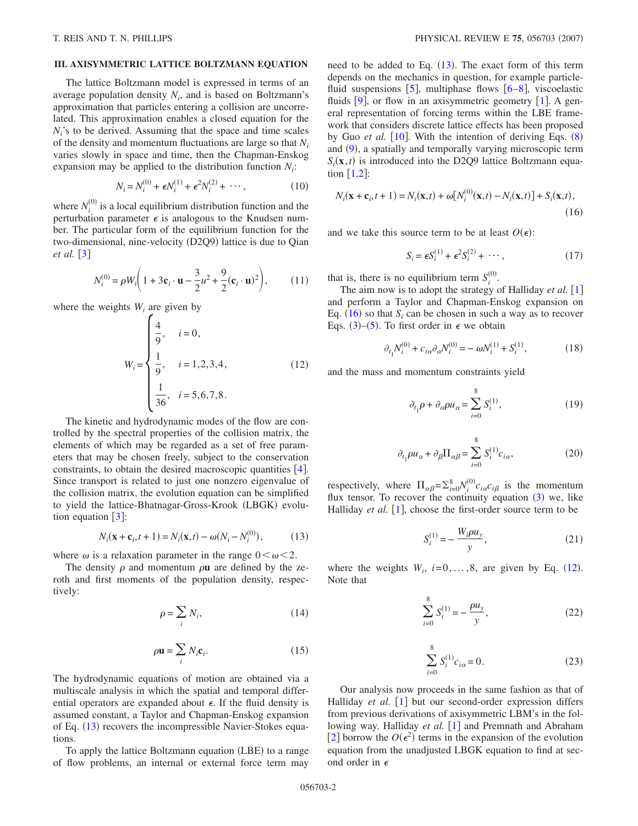#### **III. AXISYMMETRIC LATTICE BOLTZMANN EQUATION**

The lattice Boltzmann model is expressed in terms of an average population density  $N_i$ , and is based on Boltzmann's approximation that particles entering a collision are uncorrelated. This approximation enables a closed equation for the  $N_i$ 's to be derived. Assuming that the space and time scales of the density and momentum fluctuations are large so that *Ni* varies slowly in space and time, then the Chapman-Enskog expansion may be applied to the distribution function  $N_i$ :

$$
N_i = N_i^{(0)} + \epsilon N_i^{(1)} + \epsilon^2 N_i^{(2)} + \cdots, \qquad (10)
$$

where  $N_i^{(0)}$  is a local equilibrium distribution function and the perturbation parameter  $\epsilon$  is analogous to the Knudsen number. The particular form of the equilibrium function for the two-dimensional, nine-velocity (D2Q9) lattice is due to Qian *et al.*  $\lceil 3 \rceil$  $\lceil 3 \rceil$  $\lceil 3 \rceil$ 

$$
N_i^{(0)} = \rho W_i \bigg( 1 + 3\mathbf{c}_i \cdot \mathbf{u} - \frac{3}{2} u^2 + \frac{9}{2} (\mathbf{c}_i \cdot \mathbf{u})^2 \bigg), \tag{11}
$$

<span id="page-1-2"></span>where the weights  $W_i$  are given by

$$
W_{i} = \begin{cases} \frac{4}{9}, & i = 0, \\ \frac{1}{9}, & i = 1, 2, 3, 4, \\ \frac{1}{36}, & i = 5, 6, 7, 8. \end{cases}
$$
(12)

The kinetic and hydrodynamic modes of the flow are controlled by the spectral properties of the collision matrix, the elements of which may be regarded as a set of free parameters that may be chosen freely, subject to the conservation constraints, to obtain the desired macroscopic quantities  $[4]$  $[4]$  $[4]$ . Since transport is related to just one nonzero eigenvalue of the collision matrix, the evolution equation can be simplified to yield the lattice-Bhatnagar-Gross-Krook (LBGK) evolution equation  $\lceil 3 \rceil$  $\lceil 3 \rceil$  $\lceil 3 \rceil$ :

$$
N_i(\mathbf{x} + \mathbf{c}_i, t + 1) = N_i(\mathbf{x}, t) - \omega(N_i - N_i^{(0)}),
$$
 (13)

<span id="page-1-0"></span>where  $\omega$  is a relaxation parameter in the range  $0 < \omega < 2$ .

The density  $\rho$  and momentum  $\rho$ **u** are defined by the zeroth and first moments of the population density, respectively:

$$
\rho = \sum_{i} N_i,\tag{14}
$$

$$
\rho \mathbf{u} = \sum_{i} N_i \mathbf{c}_i. \tag{15}
$$

The hydrodynamic equations of motion are obtained via a multiscale analysis in which the spatial and temporal differential operators are expanded about  $\epsilon$ . If the fluid density is assumed constant, a Taylor and Chapman-Enskog expansion of Eq. ([13](#page-1-0)) recovers the incompressible Navier-Stokes equations.

To apply the lattice Boltzmann equation (LBE) to a range of flow problems, an internal or external force term may

need to be added to Eq.  $(13)$  $(13)$  $(13)$ . The exact form of this term depends on the mechanics in question, for example particlefluid suspensions  $\begin{bmatrix} 5 \end{bmatrix}$  $\begin{bmatrix} 5 \end{bmatrix}$  $\begin{bmatrix} 5 \end{bmatrix}$ , multiphase flows  $\begin{bmatrix} 6-8 \end{bmatrix}$  $\begin{bmatrix} 6-8 \end{bmatrix}$  $\begin{bmatrix} 6-8 \end{bmatrix}$ , viscoelastic fluids  $[9]$  $[9]$  $[9]$ , or flow in an axisymmetric geometry  $[1]$  $[1]$  $[1]$ . A general representation of forcing terms within the LBE framework that considers discrete lattice effects has been proposed by Guo *et al.* [[10](#page-4-4)]. With the intention of deriving Eqs. ([8](#page-0-3)) and ([9](#page-0-2)), a spatially and temporally varying microscopic term  $S_i(\mathbf{x}, t)$  is introduced into the D2Q9 lattice Boltzmann equation  $\lceil 1, 2 \rceil$  $\lceil 1, 2 \rceil$  $\lceil 1, 2 \rceil$  $\lceil 1, 2 \rceil$  $\lceil 1, 2 \rceil$ :

<span id="page-1-1"></span>
$$
N_i(\mathbf{x} + \mathbf{c}_i, t + 1) = N_i(\mathbf{x}, t) + \omega [N_i^{(0)}(\mathbf{x}, t) - N_i(\mathbf{x}, t)] + S_i(\mathbf{x}, t),
$$
\n(16)

and we take this source term to be at least  $O(\epsilon)$ :

$$
S_i = \epsilon S_i^{(1)} + \epsilon^2 S_i^{(2)} + \cdots, \qquad (17)
$$

that is, there is no equilibrium term  $S_i^{(0)}$ .

The aim now is to adopt the strategy of Halliday *et al.* [[1](#page-3-0)] and perform a Taylor and Chapman-Enskog expansion on Eq.  $(16)$  $(16)$  $(16)$  so that  $S_i$  can be chosen in such a way as to recover Eqs. ([3](#page-0-0))–([5](#page-0-1)). To first order in  $\epsilon$  we obtain

$$
\partial_{t_1} N_i^{(0)} + c_{i\alpha} \partial_{\alpha} N_i^{(0)} = -\omega N_i^{(1)} + S_i^{(1)},\tag{18}
$$

<span id="page-1-5"></span><span id="page-1-3"></span>and the mass and momentum constraints yield

$$
\partial_{t_1} \rho + \partial_{\alpha} \rho u_{\alpha} = \sum_{i=0}^{8} S_i^{(1)},\tag{19}
$$

$$
\partial_{t_1} \rho u_{\alpha} + \partial_{\beta} \Pi_{\alpha \beta} = \sum_{i=0}^{8} S_i^{(1)} c_{i\alpha}, \qquad (20)
$$

<span id="page-1-6"></span>respectively, where  $\Pi_{\alpha\beta} = \sum_{i=0}^{8} N_i^{(0)} c_{i\alpha} c_{i\beta}$  is the momentum flux tensor. To recover the continuity equation  $(3)$  $(3)$  $(3)$  we, like Halliday *et al.* [[1](#page-3-0)], choose the first-order source term to be

$$
S_i^{(1)} = -\frac{W_i \rho u_y}{y},
$$
\n(21)

<span id="page-1-4"></span>where the weights  $W_i$ ,  $i=0,\ldots,8$ , are given by Eq. ([12](#page-1-2)). Note that

$$
\sum_{i=0}^{8} S_i^{(1)} = -\frac{\rho u_y}{y},
$$
\n(22)

$$
\sum_{i=0}^{8} S_i^{(1)} c_{i\alpha} = 0.
$$
 (23)

Our analysis now proceeds in the same fashion as that of Halliday et al. [[1](#page-3-0)] but our second-order expression differs from previous derivations of axisymmetric LBM's in the following way. Halliday *et al.* [[1](#page-3-0)] and Premnath and Abraham [[2](#page-3-1)] borrow the  $O(\epsilon^2)$  terms in the expansion of the evolution equation from the unadjusted LBGK equation to find at second order in  $\epsilon$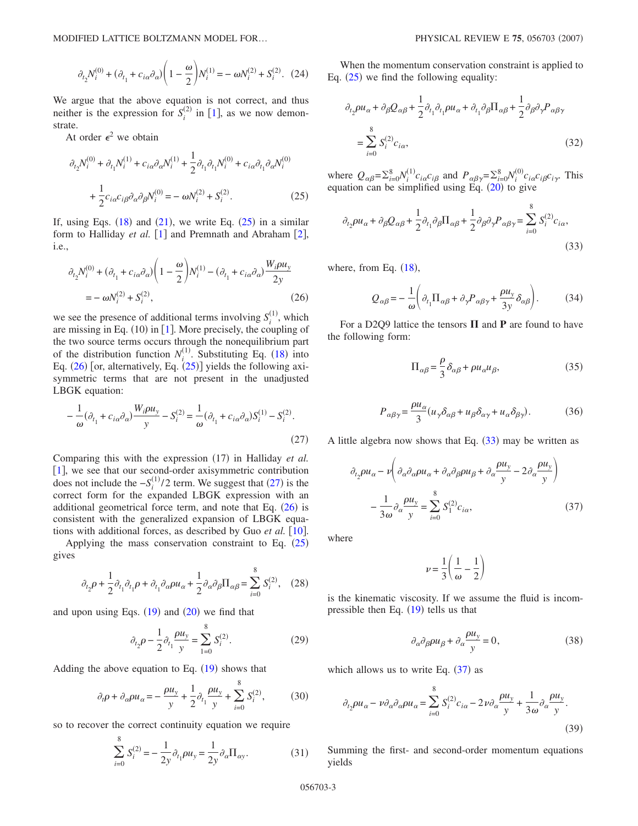MODIFIED LATTICE BOLTZMANN MODEL FOR...

$$
\partial_{t_2} N_i^{(0)} + (\partial_{t_1} + c_{i\alpha}\partial_{\alpha}) \left(1 - \frac{\omega}{2}\right) N_i^{(1)} = -\omega N_i^{(2)} + S_i^{(2)}.
$$
 (24)

We argue that the above equation is not correct, and thus neither is the expression for  $S_i^{(2)}$  in [[1](#page-3-0)], as we now demonstrate.

<span id="page-2-0"></span>At order  $\epsilon^2$  we obtain

$$
\partial_{t_2} N_i^{(0)} + \partial_{t_1} N_i^{(1)} + c_{i\alpha} \partial_{\alpha} N_i^{(1)} + \frac{1}{2} \partial_{t_1} \partial_{t_1} N_i^{(0)} + c_{i\alpha} \partial_{t_1} \partial_{\alpha} N_i^{(0)}
$$

$$
+ \frac{1}{2} c_{i\alpha} c_{i\beta} \partial_{\alpha} \partial_{\beta} N_i^{(0)} = -\omega N_i^{(2)} + S_i^{(2)}.
$$
(25)

If, using Eqs.  $(18)$  $(18)$  $(18)$  and  $(21)$  $(21)$  $(21)$ , we write Eq.  $(25)$  $(25)$  $(25)$  in a similar form to Halliday *et al.* [[1](#page-3-0)] and Premnath and Abraham [[2](#page-3-1)], i.e.,

<span id="page-2-1"></span>
$$
\partial_{t_2} N_i^{(0)} + (\partial_{t_1} + c_{i\alpha}\partial_{\alpha}) \left( 1 - \frac{\omega}{2} \right) N_i^{(1)} - (\partial_{t_1} + c_{i\alpha}\partial_{\alpha}) \frac{W_i \rho u_y}{2y}
$$
  
= 
$$
-\omega N_i^{(2)} + S_i^{(2)},
$$
 (26)

we see the presence of additional terms involving  $S_i^{(1)}$ , which are missing in Eq.  $(10)$  $(10)$  $(10)$  in [1]. More precisely, the coupling of the two source terms occurs through the nonequilibrium part of the distribution function  $N_i^{(1)}$ . Substituting Eq. ([18](#page-1-3)) into Eq.  $(26)$  $(26)$  $(26)$  [or, alternatively, Eq.  $(25)$  $(25)$  $(25)$ ] yields the following axisymmetric terms that are not present in the unadjusted LBGK equation:

<span id="page-2-2"></span>
$$
-\frac{1}{\omega}(\partial_{t_1} + c_{i\alpha}\partial_{\alpha})\frac{W_i\rho u_y}{y} - S_i^{(2)} = \frac{1}{\omega}(\partial_{t_1} + c_{i\alpha}\partial_{\alpha})S_i^{(1)} - S_i^{(2)}.
$$
\n(27)

Comparing this with the expression (17) in Halliday et al. [[1](#page-3-0)], we see that our second-order axisymmetric contribution does not include the  $-S_i^{(1)}/2$  term. We suggest that ([27](#page-2-2)) is the correct form for the expanded LBGK expression with an additional geometrical force term, and note that Eq. ([26](#page-2-1)) is consistent with the generalized expansion of LBGK equations with additional forces, as described by Guo *et al.* [[10](#page-4-4)].

Applying the mass conservation constraint to Eq.  $(25)$  $(25)$  $(25)$ gives

$$
\partial_{t_2}\rho + \frac{1}{2}\partial_{t_1}\partial_{t_1}\rho + \partial_{t_1}\partial_{\alpha}\rho u_{\alpha} + \frac{1}{2}\partial_{\alpha}\partial_{\beta}\Pi_{\alpha\beta} = \sum_{i=0}^{8} S_i^{(2)}, \quad (28)
$$

and upon using Eqs.  $(19)$  $(19)$  $(19)$  and  $(20)$  $(20)$  $(20)$  we find that

$$
\partial_{t_2} \rho - \frac{1}{2} \partial_{t_1} \frac{\rho u_y}{y} = \sum_{1=0}^{8} S_i^{(2)}.
$$
 (29)

Adding the above equation to Eq.  $(19)$  $(19)$  $(19)$  shows that

$$
\partial_t \rho + \partial_\alpha \rho u_\alpha = -\frac{\rho u_y}{y} + \frac{1}{2} \partial_{t_1} \frac{\rho u_y}{y} + \sum_{i=0}^8 S_i^{(2)},\tag{30}
$$

so to recover the correct continuity equation we require

$$
\sum_{i=0}^{8} S_i^{(2)} = -\frac{1}{2y} \partial_{t_1} \rho u_y = \frac{1}{2y} \partial_{\alpha} \Pi_{\alpha y}.
$$
 (31)

When the momentum conservation constraint is applied to Eq.  $(25)$  $(25)$  $(25)$  we find the following equality:

$$
\partial_{t_2}\rho u_{\alpha} + \partial_{\beta}Q_{\alpha\beta} + \frac{1}{2}\partial_{t_1}\partial_{t_1}\rho u_{\alpha} + \partial_{t_1}\partial_{\beta}\Pi_{\alpha\beta} + \frac{1}{2}\partial_{\beta}\partial_{\gamma}P_{\alpha\beta\gamma}
$$
  

$$
= \sum_{i=0}^{8} S_i^{(2)}c_{i\alpha},
$$
 (32)

where  $Q_{\alpha\beta} = \sum_{i=0}^{8} N_i^{(1)} c_{i\alpha} c_{i\beta}$  and  $P_{\alpha\beta\gamma} = \sum_{i=0}^{8} N_i^{(0)} c_{i\alpha} c_{i\beta} c_{i\gamma}$ . This equation can be simplified using Eq.  $(20)$  $(20)$  $(20)$  to give

<span id="page-2-3"></span>
$$
\partial_{t_2}\rho u_{\alpha} + \partial_{\beta}Q_{\alpha\beta} + \frac{1}{2}\partial_{t_1}\partial_{\beta}\Pi_{\alpha\beta} + \frac{1}{2}\partial_{\beta}\partial_{\gamma}P_{\alpha\beta\gamma} = \sum_{i=0}^8 S_i^{(2)}c_{i\alpha},
$$
\n(33)

where, from Eq.  $(18)$  $(18)$  $(18)$ ,

$$
Q_{\alpha\beta} = -\frac{1}{\omega} \left( \partial_{t_1} \Pi_{\alpha\beta} + \partial_{\gamma} P_{\alpha\beta\gamma} + \frac{\rho u_{\gamma}}{3y} \delta_{\alpha\beta} \right). \tag{34}
$$

For a D2O9 lattice the tensors  $\Pi$  and **P** are found to have the following form:

$$
\Pi_{\alpha\beta} = \frac{\rho}{3} \delta_{\alpha\beta} + \rho u_{\alpha} u_{\beta},\tag{35}
$$

$$
P_{\alpha\beta\gamma} = \frac{\rho u_{\alpha}}{3} (u_{\gamma}\delta_{\alpha\beta} + u_{\beta}\delta_{\alpha\gamma} + u_{\alpha}\delta_{\beta\gamma}).
$$
 (36)

<span id="page-2-4"></span>A little algebra now shows that Eq.  $(33)$  $(33)$  $(33)$  may be written as

$$
\partial_{t_2} \rho u_{\alpha} - \nu \left( \partial_{\alpha} \partial_{\alpha} \rho u_{\alpha} + \partial_{\alpha} \partial_{\beta} \rho u_{\beta} + \partial_{\alpha} \frac{\rho u_y}{y} - 2 \partial_{\alpha} \frac{\rho u_y}{y} \right) - \frac{1}{3 \omega} \partial_{\alpha} \frac{\rho u_y}{y} = \sum_{i=0}^{8} S_1^{(2)} c_{i\alpha},
$$
\n(37)

where

$$
\nu = \frac{1}{3} \left( \frac{1}{\omega} - \frac{1}{2} \right)
$$

is the kinematic viscosity. If we assume the fluid is incompressible then Eq.  $(19)$  $(19)$  $(19)$  tells us that

$$
\partial_{\alpha}\partial_{\beta}\rho u_{\beta} + \partial_{\alpha}\frac{\rho u_{y}}{y} = 0, \qquad (38)
$$

which allows us to write Eq.  $(37)$  $(37)$  $(37)$  as

$$
\partial_{t_2}\rho u_{\alpha} - \nu \partial_{\alpha}\partial_{\alpha}\rho u_{\alpha} = \sum_{i=0}^{8} S_i^{(2)} c_{i\alpha} - 2\nu \partial_{\alpha} \frac{\rho u_y}{y} + \frac{1}{3\omega} \partial_{\alpha} \frac{\rho u_y}{y}.
$$
\n(39)

Summing the first- and second-order momentum equations yields

056703-3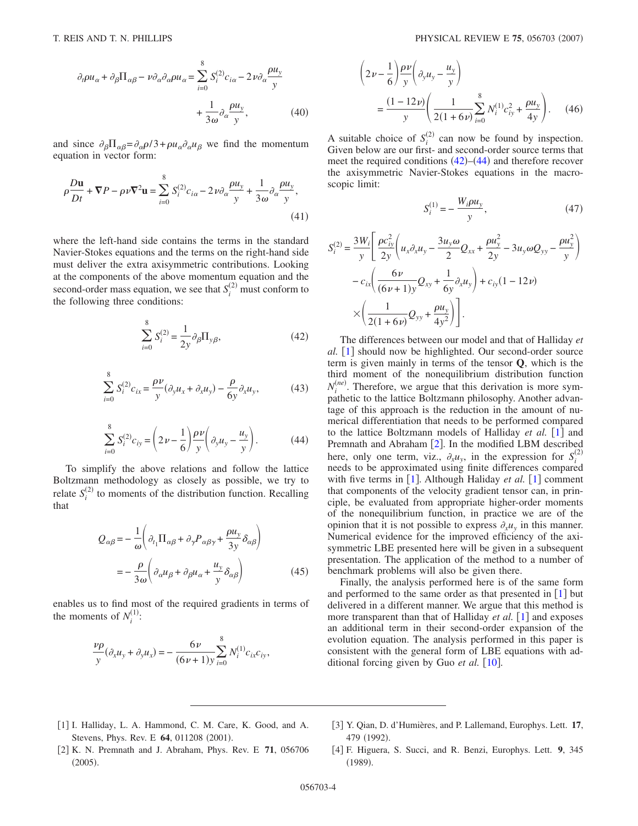$$
\partial_t \rho u_{\alpha} + \partial_{\beta} \Pi_{\alpha \beta} - \nu \partial_{\alpha} \partial_{\alpha} \rho u_{\alpha} = \sum_{i=0}^8 S_i^{(2)} c_{i\alpha} - 2\nu \partial_{\alpha} \frac{\rho u_y}{y} + \frac{1}{3\omega} \partial_{\alpha} \frac{\rho u_y}{y},
$$
(40)

and since  $\partial_{\beta} \Pi_{\alpha\beta} = \partial_{\alpha}\rho/3 + \rho u_{\alpha}\partial_{\alpha}u_{\beta}$  we find the momentum equation in vector form:

$$
\rho \frac{D\mathbf{u}}{Dt} + \nabla P - \rho \nu \nabla^2 \mathbf{u} = \sum_{i=0}^8 S_i^{(2)} c_{i\alpha} - 2\nu \partial_\alpha \frac{\rho u_y}{y} + \frac{1}{3\omega} \partial_\alpha \frac{\rho u_y}{y},\tag{41}
$$

where the left-hand side contains the terms in the standard Navier-Stokes equations and the terms on the right-hand side must deliver the extra axisymmetric contributions. Looking at the components of the above momentum equation and the second-order mass equation, we see that  $S_i^{(2)}$  must conform to the following three conditions:

$$
\sum_{i=0}^{8} S_i^{(2)} = \frac{1}{2y} \partial_{\beta} \Pi_{y\beta},
$$
\n(42)

<span id="page-3-4"></span>
$$
\sum_{i=0}^{8} S_i^{(2)} c_{ix} = \frac{\rho \nu}{y} (\partial_y u_x + \partial_x u_y) - \frac{\rho}{6y} \partial_x u_y, \tag{43}
$$

$$
\sum_{i=0}^{8} S_i^{(2)} c_{iy} = \left(2\nu - \frac{1}{6}\right) \frac{\rho \nu}{y} \left(\partial_y u_y - \frac{u_y}{y}\right). \tag{44}
$$

<span id="page-3-5"></span>To simplify the above relations and follow the lattice Boltzmann methodology as closely as possible, we try to relate  $S_i^{(2)}$  to moments of the distribution function. Recalling that

$$
Q_{\alpha\beta} = -\frac{1}{\omega} \left( \partial_{t_1} \Pi_{\alpha\beta} + \partial_{\gamma} P_{\alpha\beta\gamma} + \frac{\rho u_{y}}{3y} \delta_{\alpha\beta} \right)
$$

$$
= -\frac{\rho}{3\omega} \left( \partial_{\alpha} u_{\beta} + \partial_{\beta} u_{\alpha} + \frac{u_{y}}{y} \delta_{\alpha\beta} \right)
$$
(45)

enables us to find most of the required gradients in terms of the moments of  $N_i^{(1)}$ :

$$
\frac{\nu \rho}{y} (\partial_x u_y + \partial_y u_x) = -\frac{6\nu}{(6\nu + 1)y} \sum_{i=0}^8 N_i^{(1)} c_{ix} c_{iy},
$$

$$
\left(2\nu - \frac{1}{6}\right) \frac{\rho \nu}{y} \left(\partial_y u_y - \frac{u_y}{y}\right)
$$
  
=  $\frac{(1 - 12\nu)}{y} \left(\frac{1}{2(1 + 6\nu)} \sum_{i=0}^8 N_i^{(1)} c_{iy}^2 + \frac{\rho u_y}{4y}\right)$ . (46)

A suitable choice of  $S_i^{(2)}$  can now be found by inspection. Given below are our first- and second-order source terms that meet the required conditions  $(42)$  $(42)$  $(42)$ – $(44)$  $(44)$  $(44)$  and therefore recover the axisymmetric Navier-Stokes equations in the macroscopic limit:

 $\lambda$ 

$$
S_i^{(1)} = -\frac{W_i \rho u_y}{y},\tag{47}
$$

$$
S_i^{(2)} = \frac{3W_i}{y} \left[ \frac{\rho c_{iy}^2}{2y} \left( u_x \partial_x u_y - \frac{3u_y \omega}{2} Q_{xx} + \frac{\rho u_y^2}{2y} - 3u_y \omega Q_{yy} - \frac{\rho u_y^2}{y} \right) - c_{ix} \left( \frac{6\nu}{(6\nu + 1)y} Q_{xy} + \frac{1}{6y} \partial_x u_y \right) + c_{iy} (1 - 12\nu)
$$

$$
\times \left( \frac{1}{2(1 + 6\nu)} Q_{yy} + \frac{\rho u_y}{4y^2} \right).
$$

The differences between our model and that of Halliday *et al.* [1](#page-3-0) should now be highlighted. Our second-order source term is given mainly in terms of the tensor **Q**, which is the third moment of the nonequilibrium distribution function  $N_i^{(ne)}$ . Therefore, we argue that this derivation is more sympathetic to the lattice Boltzmann philosophy. Another advantage of this approach is the reduction in the amount of numerical differentiation that needs to be performed compared to the lattice Boltzmann models of Halliday *et al.* [[1](#page-3-0)] and Premnath and Abraham  $[2]$  $[2]$  $[2]$ . In the modified LBM described here, only one term, viz.,  $\partial_x u_y$ , in the expression for  $S_i^{(2)}$ needs to be approximated using finite differences compared with five terms in  $\left[1\right]$  $\left[1\right]$  $\left[1\right]$ . Although Haliday *et al.*  $\left[1\right]$  comment that components of the velocity gradient tensor can, in principle, be evaluated from appropriate higher-order moments of the nonequilibrium function, in practice we are of the opinion that it is not possible to express  $\partial_{x}u_{y}$  in this manner. Numerical evidence for the improved efficiency of the axisymmetric LBE presented here will be given in a subsequent presentation. The application of the method to a number of benchmark problems will also be given there.

Finally, the analysis performed here is of the same form and performed to the same order as that presented in  $|1|$  $|1|$  $|1|$  but delivered in a different manner. We argue that this method is more transparent than that of Halliday *et al.* [1](#page-3-0)1 and exposes an additional term in their second-order expansion of the evolution equation. The analysis performed in this paper is consistent with the general form of LBE equations with additional forcing given by Guo *et al.* [[10](#page-4-4)].

- <span id="page-3-0"></span>[1] I. Halliday, L. A. Hammond, C. M. Care, K. Good, and A. Stevens, Phys. Rev. E 64, 011208 (2001).
- <span id="page-3-2"></span>3 Y. Qian, D. d'Humières, and P. Lallemand, Europhys. Lett. **17**, 479 (1992).
- <span id="page-3-1"></span>2 K. N. Premnath and J. Abraham, Phys. Rev. E **71**, 056706  $(2005).$
- <span id="page-3-3"></span>4 F. Higuera, S. Succi, and R. Benzi, Europhys. Lett. **9**, 345  $(1989).$